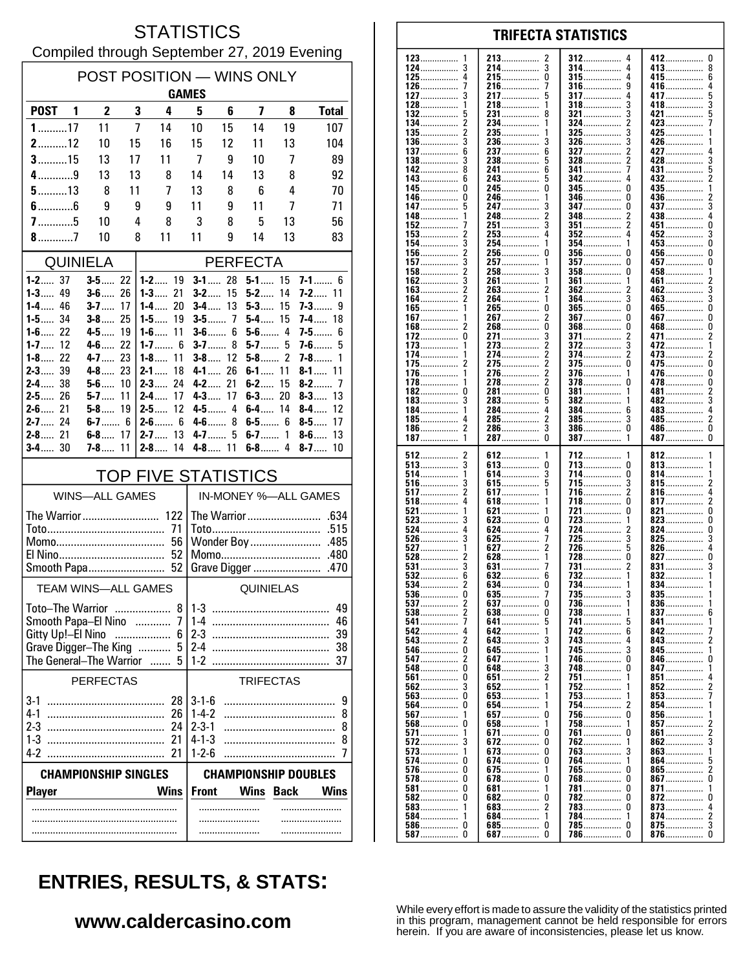#### **STATISTICS** Compiled through September 27, 2019 Evening

| POST POSITION - WINS ONLY<br><b>GAMES</b>                   |                          |    |                              |                                      |                            |                         |              |                                |  |
|-------------------------------------------------------------|--------------------------|----|------------------------------|--------------------------------------|----------------------------|-------------------------|--------------|--------------------------------|--|
| POST <sub>1</sub>                                           | $\overline{2}$           | 3  | 4                            | 5                                    | 6                          | $\overline{\mathbf{z}}$ | 8            | <b>Total</b>                   |  |
| $1$ 17                                                      | 11                       | 7  | 14                           | 10                                   | 15                         | 14                      | 19           | 107                            |  |
| $2$ 12                                                      | 10                       | 15 | 16                           | 15                                   | 12                         | 11                      | 13           | 104                            |  |
| $3$ 15                                                      | 13                       | 17 | 11                           | 7                                    | 9                          | 10                      | 7            | 89                             |  |
| $4$ 9                                                       | 13                       | 13 | 8                            | 14                                   | 14                         | 13                      | 8            | 92                             |  |
| $5$ 13                                                      | 8                        | 11 | 7                            | 13                                   | 8                          | 6                       | 4            | 70                             |  |
| $6$ 6                                                       | 9                        | 9  | 9                            | 11                                   | 9                          | 11                      | 7            | 71                             |  |
| $7$ 5                                                       | 10                       | 4  | 8                            | 3                                    | 8                          | 5                       | 13           | 56                             |  |
| $8$ 7<br>10<br>8<br>11<br>11<br>9<br>14<br>13<br>83         |                          |    |                              |                                      |                            |                         |              |                                |  |
|                                                             | QUINIELA                 |    |                              |                                      |                            | <b>PERFECTA</b>         |              |                                |  |
| $1 - 2$ 37<br><b>1-3</b> 49                                 | $3 - 5$ 22<br>$3 - 6$ 26 |    | $1 - 2$ 19<br>$1 - 3$ 21     | $3-2$                                | $3 - 1$ 28<br>15           | $5 - 1$ 15<br>$5 - 2$   | 14           | $7 - 1$ 6<br>$7 - 2$ 11        |  |
| $1 - 4$ 46                                                  | $3 - 7$                  | 17 | $1 - 4$ 20                   |                                      | $3 - 4$ 13                 | $5 - 3$                 | 15           | 7-3…… 9                        |  |
| $1 - 5$ 34                                                  | $3-8$                    | 25 | $1 - 5$<br>19                |                                      | $3 - 5$ 7                  | $5-4$                   | 15           | $7 - 4$ 18                     |  |
| $1 - 6$ 22<br>1-7……<br>12                                   | 4-5 19<br>$4-6$ 22       |    | $1 - 6$ 11<br>1-7…… 6        | $3-6$                                | 6<br><b>3-7</b><br>8       | $5-6$ 4<br>$5 - 7$ 5    |              | $7 - 5$ 6<br>7-6<br>5          |  |
| $1 - 8$ 22                                                  | 4-7 23                   |    | 1-8…<br>11                   |                                      | $3 - 8$ 12                 | $5 - 8$ 2               |              | 7-8……<br>1                     |  |
| $2 - 3$ 39                                                  | $4 - 8$ 23               |    | $2 - 1$<br>18                |                                      | 4-1 26                     | $6 - 1$ 11              |              | $8 - 1$ 11                     |  |
| $2 - 4$ 38                                                  | $5 - 6$ 10               |    | $2 - 3$ 24                   |                                      | $4 - 2$ 21                 | $6-2$                   | 15           | $8-2$<br>-7                    |  |
| $2 - 5$<br>26<br>$2 - 6$ 21                                 | 5-7……<br>$5 - 8$ 19      | 11 | 2-4……<br>17<br>12<br>2-5……   |                                      | $4 - 3$ 17<br>4-5 4        | $6 - 3$<br>$6-4$        | 20<br>14     | $8 - 3 $<br>13<br>$8-4$<br>12  |  |
| $2 - 7$ 24                                                  |                          |    | $2 - 6$ 6                    |                                      | 8<br>$4-6$                 | $6 - 5$ 6               |              | $8-5$<br>17                    |  |
| $2 - 8$ 21<br>$3 - 4$ 30                                    | $6 - 8$ 17<br>7-8…       | 11 | $2 - 7$ 13<br>$2 - 8$<br>14  |                                      | $4 - 7$<br>5<br>$4 - 8$ 11 | $6 - 7$ 1<br>$6-8$ 4    |              | $8 - 6$<br>13<br>$8 - 7$<br>10 |  |
| <b>TOP FIVE STATISTICS</b>                                  |                          |    |                              |                                      |                            |                         |              |                                |  |
|                                                             | <b>WINS-ALL GAMES</b>    |    |                              |                                      |                            |                         |              | IN-MONEY %-ALL GAMES           |  |
| The Warrior 122                                             |                          |    |                              |                                      |                            |                         |              |                                |  |
|                                                             |                          |    | 71                           |                                      |                            |                         |              | .515                           |  |
| 56                                                          |                          |    |                              | Wonder Boy<br>.485<br>Momo           |                            |                         |              |                                |  |
| 52                                                          |                          |    |                              |                                      |                            |                         | .480<br>.470 |                                |  |
| Smooth Papa<br><b>TEAM WINS-ALL GAMES</b>                   |                          |    |                              | Grave Digger                         |                            |                         |              |                                |  |
|                                                             |                          |    |                              | <b>QUINIELAS</b>                     |                            |                         |              |                                |  |
| 8<br>Toto-The Warrior                                       |                          |    |                              | 49<br>$1 - 3$                        |                            |                         |              |                                |  |
| Smooth Papa-El Nino<br>7<br><br>Gitty Up!-El Nino<br>6<br>. |                          |    | 46<br>$1-4$<br>$2 - 3$<br>39 |                                      |                            |                         |              |                                |  |
| Grave Digger-The King<br>5                                  |                          |    | $2-4$                        |                                      |                            |                         | 38           |                                |  |
| The General-The Warrior                                     |                          |    | 5<br>$\sim$                  | $1-2$                                |                            |                         |              | 37                             |  |
| <b>PERFECTAS</b><br><b>TRIFECTAS</b>                        |                          |    |                              |                                      |                            |                         |              |                                |  |
| $3-1$                                                       |                          |    | 28                           | $3 - 1 - 6$                          |                            |                         |              | 9                              |  |
| $4-1$                                                       |                          |    | 26                           | $1 - 4 - 2$                          |                            |                         |              | 8                              |  |
| 2-3                                                         |                          |    | 24                           | $2 - 3 - 1$                          |                            |                         |              | 8                              |  |
| $1-3$<br>$4-2$                                              |                          |    | 21<br>21                     | $4 - 1 - 3$<br>$1 - 2 - 6$           |                            |                         |              | 8<br>7                         |  |
| <b>CHAMPIONSHIP SINGLES</b><br><b>CHAMPIONSHIP DOUBLES</b>  |                          |    |                              |                                      |                            |                         |              |                                |  |
| <b>Player</b>                                               |                          |    | <b>Wins</b>                  | <b>Front</b><br>Wins<br>Back<br>Wins |                            |                         |              |                                |  |
|                                                             |                          |    |                              |                                      | .                          |                         |              |                                |  |
|                                                             |                          |    |                              |                                      |                            |                         |              |                                |  |
|                                                             |                          |    |                              |                                      |                            |                         |              |                                |  |

| 123<br>1          | 213<br>2        | 312<br>4        | 412<br>U        |
|-------------------|-----------------|-----------------|-----------------|
|                   |                 |                 |                 |
| 124               | 214……………        | 314<br>4        | 413<br>8        |
| 125<br>4          | 215<br>0        | $315$<br>4      | 415<br>6        |
|                   |                 |                 |                 |
| 126               | 216<br>7        | 316……………<br>9   | 416……………<br>4   |
| 127……………          | 217<br>5        | <b>317</b><br>4 | 417<br>5        |
|                   |                 |                 |                 |
| $128$             | 218<br>1        | 318             | 418<br>3        |
| 5                 | 8               | 3               | 421<br>5        |
| 132               | 231             | 321             |                 |
| 134<br>2          | 234<br>1        | 324<br>2        | 423             |
|                   |                 |                 |                 |
| 2<br>135……………     | 235<br>1        | $325$<br>3      | 425<br>1        |
| $136$             | 236<br>3        | $326$           | 426             |
|                   |                 |                 |                 |
| 137               | 237<br>6        | 327<br>2        | 427<br>4        |
|                   | 5               | 2               | 3               |
|                   | 238             | 328             | 428             |
| 142               | 241<br>6        | 341<br>7        | 431<br>5        |
|                   |                 |                 |                 |
| 143               | 243<br>5        | 342             | 432<br>2        |
| 145<br>0          | 245……………<br>0   | 345<br>0        | 435<br>1        |
|                   |                 |                 |                 |
| 146<br>0          | 246<br>1        | 346<br>0        | 436<br>2        |
|                   | 3               | 0               | 437             |
| 147               | 247             | 347             | 3               |
| 148               | 2<br>248        | 348<br>2        | 438             |
|                   | 3               | 2               |                 |
| 152<br>7          | 251             | $351$           | 451<br>0        |
| $153$<br>2        | 253<br>4        | $352$<br>4      | 452<br>3        |
|                   |                 |                 |                 |
| 154               | 254<br>1        | 354……………<br>1   | 453<br>0        |
| 156……………          | 256……………<br>0   | 356<br>U        | 456……………<br>0   |
|                   |                 |                 |                 |
| 157……………          | 257<br>1        | <b>357</b><br>0 | 457<br>0        |
| 158               | 258……………<br>3   | 358<br>0        | 458……………<br>1   |
|                   |                 |                 |                 |
| 162……………          | 1<br>261……………   | 361<br>1        | 461<br>2        |
| $163$             | 263<br>2        | 2               | 462<br>3        |
|                   |                 |                 |                 |
| 164               | 264<br>1        | 364<br>3        | 463<br>3        |
| 165<br>1          | 265……………<br>0   | $365$<br>0      | 465<br>0        |
|                   |                 |                 |                 |
| 167               | 2<br>267        | <b>367</b><br>0 | 467……………<br>0   |
| 2                 | 0               | 0               | 0               |
| 168……………          | 268……………        | $368$           | 468……………        |
| 172<br>0          | 3<br>271        | 371<br>2        | 471<br>2        |
|                   |                 |                 |                 |
| 173<br>1          | 273<br>2        | <b>372</b><br>3 | 472<br>1        |
| 174               | 274             | 374             | 473<br>2        |
|                   |                 |                 |                 |
| $175$<br>2        | 2<br>275        | $375$<br>0      | 475<br>0        |
| 176<br>1          | 276<br>2        | 376             | 476<br>0        |
|                   |                 |                 |                 |
| $178$<br>1        | 2<br>278……………   | $378$<br>U      | 478<br>0        |
| 182<br>0          | 281<br>0        | 381             | 481<br>2        |
|                   |                 |                 |                 |
| $183$<br>3        | 283<br>5        | 382<br>1        | 482<br>3        |
| 184<br>1          | 284<br>4        | 384<br>6        | 483             |
|                   |                 |                 |                 |
| 185……………          | 2<br>285……………   | 3<br>$385$      | 485……………<br>2   |
| $186$             | 3               | $386$<br>0      | 486<br>0        |
|                   | 286……………        |                 |                 |
|                   |                 |                 |                 |
| 1                 | O               | 1               | 0               |
| $187$             | 287             | 387             | 487……………        |
|                   |                 |                 |                 |
| 512<br>2          | 1               | 712<br>1        | 812<br>1        |
|                   | 612             |                 |                 |
| $513$             | 613<br>0        | 713<br>0        | 813             |
|                   | 614……………<br>3   | 714<br>0        | 1               |
| 514               |                 |                 | 814             |
| <b>516</b>        | 615<br>5        | 715<br>3        | 815<br>2        |
| 2                 | 1               |                 | 4               |
| $517$             | <b>617</b>      | 716<br>2        | 816             |
| $518$             | 618             | 718             | 817<br>2        |
| 1                 | 1               | 0               | 0               |
| 521               | 621             | 721             | 821             |
|                   | 623<br>0        | 723<br>1        | 823<br>0        |
| 523               |                 |                 |                 |
| 524               | 624<br>4        | 724<br>2        | 824<br>0        |
| $526$             | 625<br>7        | 725             | 825             |
|                   |                 |                 | 4               |
| $527$             | 627<br>2        | 726             | 826             |
| $528$<br>2        | 628<br>1        | 728<br>0        | 827<br>0        |
|                   | 7               | 2               |                 |
| $531$<br>3        | 631             | 731             | 831<br>3        |
|                   | 632<br>6        | 732<br>1        | 832             |
|                   | 0               | 1               | 1               |
| 534               | 634             | 734             | 834             |
| 536               | 635             | 735             | 835             |
|                   |                 | -1              | -1              |
|                   | <b>637</b> 0    | 736             | 836             |
| $538 \ldots$<br>2 | 638<br>0        | 738             | 837             |
| 7                 | 641<br>5        | 5               | $841$           |
| 541               |                 | 741             |                 |
|                   | 642<br>1        | 742<br>6        | 842<br>$\prime$ |
|                   |                 | 4               |                 |
| 2<br>543          | 643             | 743             | 843             |
| 546<br>0          | 645……………<br>1   | <b>745</b><br>3 | 845……………<br>1   |
|                   | 1               |                 | 0               |
| 2<br>547          | 647……………        | 746<br>0        | 846             |
|                   | 648……………<br>3   | 748<br>0        | 847<br>1        |
|                   |                 | 1               |                 |
| <b>561</b><br>0   | 2<br>651        | 751             | 851<br>4        |
| <b>562</b>        | 652<br>1        | 752             | 852<br>2        |
|                   | 1               | 1               |                 |
| $563$<br>0        | 653             | 753             | 853             |
| 564<br>0          | 654……………<br>1   | 754<br>2        | 854<br>1        |
|                   |                 |                 |                 |
| 567<br>1          | <b>657</b><br>0 | 756<br>0        | 856             |
| $568$<br>0        | 658……………<br>1   | 758             | 857<br>2        |
|                   |                 |                 |                 |
| $571$<br>1        | 671<br>0        | 761<br>0        | 861……………<br>2   |
| $572$             | 672<br>0        | 762<br>1        | 862<br>3        |
|                   |                 |                 |                 |
| $573$             | 673<br>0        | 763             | 863             |
| 574<br>0          | 674<br>0        | 764……………<br>1   | 864……………<br>5   |
|                   |                 |                 |                 |
| <b>576</b><br>0   | 675<br>1        | 765<br>0        | 865<br>2        |
| 578<br>0          | 678<br>0        | 768<br>U        | 867<br>U        |
|                   |                 |                 |                 |
| 581               | 681<br>1        | 781             | 871             |
| <b>582</b><br>0   | 682<br>0        | 782<br>0        | $872$<br>0      |
|                   |                 |                 |                 |
| $583 \ldots$      |                 | 783<br>0        | 873             |
| 584<br>1          | 684<br>1        | 784<br>1        | 874<br>2        |
|                   |                 |                 |                 |
| $586$<br>0        | 685<br>0        | 785<br>U        |                 |
| $587$<br>0        | $687$<br>0      | 786<br>0        | 876<br>- 0      |

**TRIFECTA STATISTICS** 

# **ENTRIES, RESULTS, & STATS:**

### www.caldercasino.com

While every effort is made to assure the validity of the statistics printed<br>in this program, management cannot be held responsible for errors<br>herein. If you are aware of inconsistencies, please let us know.